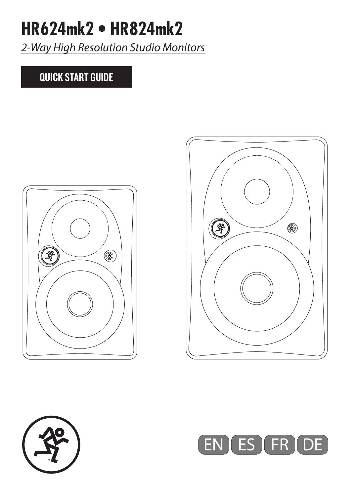# **HR624mk2 • HR824mk2**

*2-Way High Resolution Studio Monitors*

#### QUICK START GUIDE







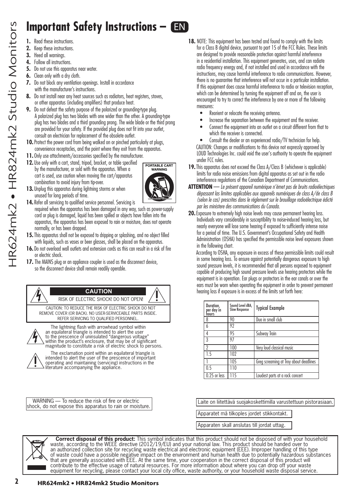## **Important Safety Instructions – EN**

- 
- **2.** Keep these instructions.
- **3.** Heed all warnings.
- **4.** Follow all instructions.
- **5.** Do not use this apparatus near water.
- **6.** Clean only with a dry cloth.
- **7.** Do not block any ventilation openings. Install in accordance with the manufacturer's instructions.
- **8.** Do not install near any heat sources such as radiators, heat registers, stoves, or other apparatus (including amplifiers) that produce heat.
- **9.** Do not defeat the safety purpose of the polarized or grounding-type plug. A polarized plug has two blades with one wider than the other. A grounding-type plug has two blades and a third grounding prong. The wide blade or the third prong are provided for your safety. If the provided plug does not fit into your outlet, consult an electrician for replacement of the obsolete outlet.
- **10.**Protect the power cord from being walked on or pinched particularly at plugs, convenience receptacles, and the point where they exit from the apparatus.
- **11.** Only use attachments/accessories specified by the manufacturer.
- **12.** Use only with a cart, stand, tripod, bracket, or table specified by the manufacturer, or sold with the apparatus. When a cart is used, use caution when moving the cart/apparatus combination to avoid injury from tip-over.



- **13.** Unplug this apparatus during lightning storms or when unused for long periods of time.
- 14. Refer all servicing to qualified service personnel. Servicing is required when the apparatus has been damaged in any way, such as power-supply cord or plug is damaged, liquid has been spilled or objects have fallen into the apparatus, the apparatus has been exposed to rain or moisture, does not operate normally, or has been dropped.
- **15.**This apparatus shall not be exposed to dripping or splashing, and no object filled with liquids, such as vases or beer glasses, shall be placed on the apparatus.
- 16. Do not overload wall outlets and extension cords as this can result in a risk of fire or electric shock.
- **17.** The MAINS plug or an appliance coupler is used as the disconnect device, so the disconnect device shall remain readily operable.





The lightning flash with arrowhead symbol within an equilateral triangle is intended to alert the user to the prescence of uninsulated "dangerous voltage" within the product's enclosure, that may be of significant magnitude to constitute a risk of electric shock to persons.

The exclamation point within an equilateral triangle is intended to alert the user of the prescence of important operating and maintaining (servicing) instructions in the literature accompanying the appliance.

WARNING — To reduce the risk of fire or electric shock, do not expose this apparatus to rain or moisture.

- **18.** NOTE: This equipment has been tested and found to comply with the limits for a Class B digital device, pursuant to part 15 of the FCC Rules. These limits are designed to provide reasonable protection against harmful interference in a residential installation. This equipment generates, uses, and can radiate radio frequency energy and, if not installed and used in accordance with the instructions, may cause harmful interference to radio communications. However, there is no guarantee that interference will not occur in a particular installation. If this equipment does cause harmful interference to radio or television reception, which can be determined by turning the equipment off and on, the user is encouraged to try to correct the interference by one or more of the following measures:
	- Reorient or relocate the receiving antenna.
	- Increase the separation between the equipment and the receiver.
	- Connect the equipment into an outlet on a circuit different from that to which the receiver is connected.
	- Consult the dealer or an experienced radio/TV technician for help.

CAUTION: Changes or modifications to this device not expressly approved by LOUD Technologies Inc. could void the user's authority to operate the equipment under FCC rules.

- **19.** This apparatus does not exceed the Class A/Class B (whichever is applicable) limits for radio noise emissions from digital apparatus as set out in the radio interference regulations of the Canadian Department of Communications.
- **ATTENTION** — *Le présent appareil numérique n'émet pas de bruits radioélectriques dépassant las limites applicables aux appareils numériques de class A/de class B (selon le cas) prescrites dans le réglement sur le brouillage radioélectrique édicté par les ministere des communications du Canada.*
- **20.**Exposure to extremely high noise levels may cause permanent hearing loss. Individuals vary considerably in susceptibility to noise-induced hearing loss, but nearly everyone will lose some hearing if exposed to sufficiently intense noise for a period of time. The U.S. Government's Occupational Safety and Health Administration (OSHA) has specified the permissible noise level exposures shown in the following chart.

According to OSHA, any exposure in excess of these permissible limits could result in some hearing loss. To ensure against potentially dangerous exposure to high sound pressure levels, it is recommended that all persons exposed to equipment capable of producing high sound pressure levels use hearing protectors while the equipment is in operation. Ear plugs or protectors in the ear canals or over the ears must be worn when operating the equipment in order to prevent permanent hearing loss if exposure is in excess of the limits set forth here:

| Duration,<br>per day in<br>hours | Sound Level dBA,<br><b>Slow Response</b> | <b>Typical Example</b>                 |
|----------------------------------|------------------------------------------|----------------------------------------|
| 8                                | 90                                       | Duo in small club                      |
| 6                                | 92                                       |                                        |
| 4                                | 95                                       | Subway Train                           |
| 3                                | 97                                       |                                        |
| $\gamma$                         | 100                                      | Very loud classical music              |
| 1.5                              | 102                                      |                                        |
|                                  | 105                                      | Greg screaming at Troy about deadlines |
| 0.5                              | 110                                      |                                        |
| 0.25 or less                     | 115                                      | Loudest parts at a rock concert        |

Laite on liitettävä suojakoskettimilla varustettuun pistorasiaan.

Apparatet må tilkoples jordet stikkontakt.

Apparaten skall anslutas till jordat uttag.

**Correct disposal of this product:** This symbol indicates that this product should not be disposed of with your household waste, according to the WEEE directive (2012/19/EU) and your national law. This product should be handed over to an authorized collection site for recycling waste electrical and electronic equipment (EEE). Improper handling of this type of waste could have a possible negative impact on the environment and human health due to potentially hazardous substances that are generally associated with EEE. At the same time, your cooperation in the correct disposal of this product will contribute to the effective usage of natural resources. For more information about where you can drop off your waste equipment for recycling, please contact your local city office, waste authority, or your household waste disposal service.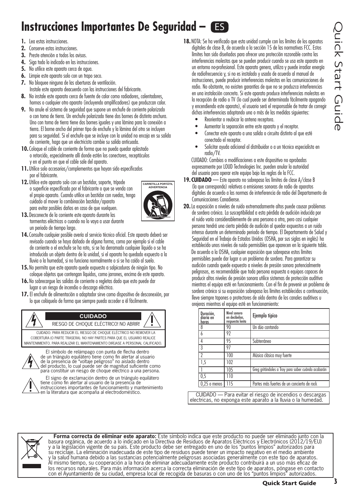## **Instrucciones Importantes De Seguridad – ES**

- **1.** Lea estas instrucciones.
- **2.** Conserve estas instrucciones.
- **3.** Preste atención a todos los avisos.
- **4.** Siga todo lo indicado en las instrucciones.
- **5.** No utilice este aparato cerca de agua.
- **6.** Limpie este aparato solo con un trapo seco.
- **7.** No bloquee ninguna de las aberturas de ventilación.
- Instale este aparato deacuerdo con las instrucciones del fabricante.
- **8.** No instale este aparato cerca de fuente de calor como radiadores, calentadores, hornos o cualquier otro aparato (incluyendo amplificadores) que produzcan calor.
- **9.** No anule el sistema de seguridad que supone un enchufe de corriente polarizado o con toma de tierra. Un enchufe polarizado tiene dos bornes de distinta anchura. Uno con toma de tierra tiene dos bornes iguales y una lámina para la conexión a tierra. El borne ancho del primer tipo de enchufe y la lámina del otro se incluyen para su seguridad. Si el enchufe que se incluye con la unidad no encaja en su salida de corriente, haga que un electricista cambie su salida anticuada.
- **10.**Coloque el cable de corriente de forma que no pueda quedar aplastado o retorcido, especialmente allí donde estén los conectores, receptáculos y en el punto en que el cable sale del aparato.
- **11.** Utilice solo accesorios/complementos que hayan sido especificados por el fabricante.
- **12.** Utilice este aparato solo con un bastidor, soporte, trípode o superficie especificado por el fabricante o que se venda con el propio aparato. Cuando utilice un bastidor con ruedas, tenga cuidado al mover la combinación bastidor/aparato para evitar posibles daños en caso de que vuelquen.



- **13.** Desconecte de la corriente este aparato durante las tormentas eléctricas o cuando no lo vaya a usar durante un periodo de tiempo largo.
- **14.**Consulte cualquier posible avería al servicio técnico oficial. Este aparato deberá ser revisado cuando se haya dañado de alguna forma, como por ejemplo si el cable de corriente o el enchufe se ha roto, si se ha derramado cualquier líquido o se ha introducido un objeto dentro de la unidad, si el aparato ha quedado expuesto a la lluvia o la humedad, si no funciona normalmente o si se ha caído al suelo.
- **15.** No permita que este aparato quede expuesto a salpicaduras de ningún tipo. No coloque objetos que contengan líquidos, como jarrones, encima de este aparato.
- **16.** No sobrecargue las salidas de corriente o regletas dado que esto puede dar lugar a un riesgo de incendio o descarga eléctrica.
- **17.** El enchufe de alimentación o adaptador sirve como dispositivo de desconexión, por lo que colóquelo de forma que siempre pueda acceder a él fácilmente.





de un triángulo equilátero tiene como fin alertar al usuario de la presencia de "voltaje peligroso" no aislado dentro del producto, lo cual puede ser de magnitud suficiente como para constituir un riesgo de choque eléctrico a una persona.

El signo de exclamación dentro de un triángulo equilátero tiene como fin alertar al usuario de la presencia de instrucciones importantes de funcionamiento y mantenimiento en la literatura que acompaña al electrodoméstico.

- **18.** NOTA: Se ha verificado que esta unidad cumple con los límites de los aparatos digitales de clase B, de acuerdo a la sección 15 de las normativas FCC. Estos límites han sido diseñados para ofrecer una protección razonable contra las interferencias molestas que se pueden producir cuando se usa este aparato en un entorno no-profesional. Este aparato genera, utiliza y puede irradiar energía de radiofrecuencia y, si no es instalado y usado de acuerdo al manual de instrucciones, puede producir interferencias molestas en las comunicaciones de radio. No obstante, no existen garantías de que no se produzca interferencias en una instalación concreta. Si este aparato produce interferencias molestas en la recepción de radio o TV (lo cual puede ser determinado fácilmente apagando y encendiendo este aparato), el usuario será el responsable de tratar de corregir dichas interferencias adoptando una o más de las medidas siguientes:
	- Reorientar o reubicar la antena receptora.
	- Aumentar la separación entre este aparato y el receptor.
	- Conectar este aparato a una salida o circuito distinto al que esté conectado el receptor.
	- Solicitar ayuda adicional al distribuidor o a un técnico especialista en radio/TV.

CUIDADO: Cambios o modificaciones a este dispositivo no aprobadas expresamente por LOUD Technologies Inc. pueden anular la autoridad del usuario para operar este equipo bajo las reglas de la FCC.

- **19. CUIDADO** Este aparato no sobrepasa los límites de clase A/clase B (la que corresponda) relativas a emisiones sonoras de radio de aparatos digitales de acuerdo a las normas de interferencia de radio del Departamento de Comunicaciones Canadiense.
- **20.**La exposición a niveles de ruido extremadamente altos puede causar problemas de sordera crónica. La susceptibilidad a esta pérdida de audición inducida por el ruido varía considerablemente de una persona a otra, pero casi cualquier persona tendrá una cierta pérdida de audición al quedar expuestos a un ruido intenso durante un determinado periodo de tiempo. El Departamento de Salud y Seguridad en el Trabajo de Estados Unidos (OSHA, por sus siglas en inglés) ha establecido unos niveles de ruido permisibles que aparecen en la siguiente tabla. De acuerdo a la OSHA, cualquier exposición que sobrepase estos límites permisibles puede dar lugar a un problema de sordera. Para garantizar su audición cuando quede expuesto a niveles de presión sonora potencialmente peligrosos, es recomendable que toda persona expuesta a equipos capaces de producir altos niveles de presión sonora utilice sistemas de protección auditiva mientras el equipo esté en funcionamiento. Con el fin de prevenir un problema de sordera crónico si su exposición sobrepasa los límites establecidos a continuación, lleve siempre tapones o protectores de oído dentro de los canales auditivos u orejeras mientras el equipo esté en funcionamiento:

| Duración,<br>diaria en<br>horas | Nivel sonoro<br>en decibelios,<br>respuesta lenta | Ejemplo típico                                     |
|---------------------------------|---------------------------------------------------|----------------------------------------------------|
| 8                               | 90                                                | Un dúo cantando                                    |
| 6                               | 92                                                |                                                    |
| 4                               | 95                                                | Subterráneo                                        |
| 3                               | 97                                                |                                                    |
| $\gamma$                        | 100                                               | Música clásica muy fuerte                          |
| 1,5                             | 102                                               |                                                    |
|                                 | 105                                               | Greg gritándoles a Troy para saber cuándo acabarán |
| 0,5                             | 110                                               |                                                    |
| $\vert$ 0,25 o menos            | 115                                               | Partes más fuertes de un concierto de rock         |

CUIDADO — Para evitar el riesgo de incendios o descargas electricas, no exponga este aparato a la lluvia o la humedad.



**Forma correcta de eliminar este aparato:** Este símbolo indica que este producto no puede ser eliminado junto con la basura orgánica, de acuerdo a lo indicado en la Directiva de Residuos de Aparatos Eléctricos y Electrónicos (2012/19/EU) y a la legislación vigente de su país. Este producto debe ser entregado en uno de los "puntos limpios" autorizados para su reciclaje. La eliminación inadecuada de este tipo de residuos puede tener un impacto negativo en el medio ambiente y la salud humana debido a las sustancias potencialmente peligrosas asociadas generalmente con este tipo de aparatos. Al mismo tiempo, su cooperación a la hora de eliminar adecuadamente este producto contribuirá a un uso más eficaz de los recursos naturales. Para más información acerca la correcta eliminación de este tipo de aparatos, póngase en contacto con el Ayuntamiento de su ciudad, empresa local de recogida de basuras o con uno de los "puntos limpios" autorizados.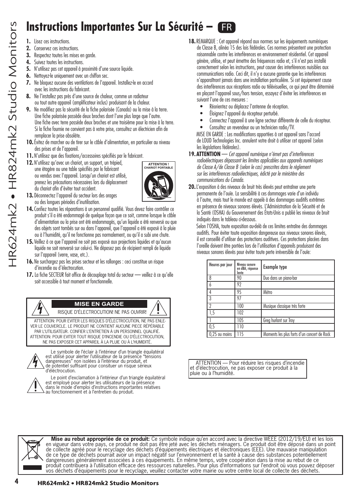## **Instructions Importantes Sur La Sécurité – ER**

- 
- **2.** Conservez ces instructions.
- **3.** Respectez toutes les mises en garde.
- **4.** Suivez toutes les instructions.
- **5.** N'utilisez pas cet appareil à proximité d'une source liquide.
- **6.** Nettovez-le uniquement avec un chiffon sec.
- **7.** Ne bloquez aucune des ventilations de l'appareil. Installez-le en accord avec les instructions du fabricant.
- **8.** Ne l'installez pas près d'une source de chaleur, comme un radiateur ou tout autre appareil (amplificateur inclus) produisant de la chaleur.
- **9.** Ne modifiez pas la sécurité de la fiche polarisée (Canada) ou la mise à la terre. Une fiche polarisée possède deux broches dont l'une plus large que l'autre. Une fiche avec terre possède deux broches et une troisième pour la mise à la terre. Si la fiche fournie ne convient pas à votre prise, consultez un électricien afin de remplacer la prise obsolète.
- **10.**Évitez de marcher ou de tirer sur le câble d'alimentation, en particulier au niveau des prises et de l'appareil.
- **11.** N'utilisez que des fixations/accessoires spécifiés par le fabricant.
- **12.** N'utilisez qu'avec un chariot, un support, un trépied, une étagère ou une table spécifiés par le fabricant ou vendus avec l'appareil. Lorsqu'un chariot est utilisé, prenez les précautions nécessaires lors du déplacement du chariot afin d'éviter tout accident.



- **13.** Déconnectez l'appareil du secteur lors des orages ou des longues périodes d'inutilisation.
- **14.**Confiez toutes les réparations à un personnel qualifié. Vous devez faire contrôler ce produit s'il a été endommagé de quelque façon que ce soit, comme lorsque le câble d'alimentation ou la prise ont été endommagés, qu'un liquide a été renversé ou que des objets sont tombés sur ou dans l'appareil, que l'appareil a été exposé à la pluie ou à l'humidité, qu'il ne fonctionne pas normalement, ou qu'il a subi une chute.
- 15. Veillez à ce que l'appareil ne soit pas exposé aux projections liquides et qu'aucun liquide ne soit renversé sur celui-ci. Ne déposez pas de récipient rempli de liquide sur l'appareil (verre, vase, etc.).
- **16.** Ne surchargez pas les prises secteur et les rallonges : ceci constitue un risque d'incendie ou d'électrocution.
- **17.** La fiche SECTEUR fait office de découplage total du secteur veillez à ce qu'elle soit accessible à tout moment et fonctionnelle.

#### RISQUE D'ÉLECTROCUTION! NE PAS OUVRIR! **MISE EN GARDE**

ATTENTION: POUR EVITER LES RISQUES D'ÉLECTROCUTION, NE PAS ENLE-VER LE COUVERCLE. LE PRODUIT NE CONTIENT AUCUNE PIECE RÉPÉRABLE PAR L'UTILISATEUR. CONFIER L'ENTRETIEN À UN PERSONNEL QUALIFIÉ. ATTENTION: POUR EVITER TOUT RISQUE D'INCENDIE OU D'ÉLECTROCUTION, NE PAS EXPOSER CET APPAREIL À LA PLUIE OU À L'HUMIDITÉ.



Le symbole de l'éclair à l'intérieur d'un triangle équilatéral est utilisé pour alerter l'utilisateur de la présence "tensions dangereuses" non isolées à l'intérieur du produit, et de potentiel suffisant pour consituer un risque sérieux d'éléctrocution.



Le point d'exclamation à l'intérieur d'un triangle équilatéral est employé pour alerter les utilisateurs de la présence dans le mode d'emploi d'instructions importantes relatives au fonctionnement et à l'entretien du produit.

- **18.**REMARQUE : Cet appareil répond aux normes sur les équipements numériques de Classe B, alinéa 15 des lois fédérales. Ces normes présentent une protection raisonnable contre les interférences en environnement résidentiel. Cet appareil génère, utilise, et peut émettre des fréquences radio et, s'il n'est pas installé correctement selon les instructions, peut causer des interférences nuisibles aux communications radio. Ceci dit, il n'y a aucune garantie que les interférences n'apparaîtront jamais dans une installation particulière. Si cet équipement cause des interférences aux réceptions radio ou télévisuelles, ce qui peut être déterminé en plaçant l'appareil sous/hors tension, essayez d'éviter les interférences en suivant l'une de ces mesures :
	- Réorientez ou déplacez l'antenne de réception.
	- Éloignez l'appareil du récepteur perturbé.
	- Connectez l'appareil à une ligne secteur différente de celle du récepteur.
	- Consultez un revendeur ou un technicien radio/TV.

MISE EN GARDE : Les modifications apportées à cet appareil sans l'accord de LOUD Technologies Inc. annulent votre droit à utiliser cet appareil (selon les législations fédérales).

- **19.ATTENTION** *Cet appareil numérique n'émet pas d'interférences radioélectriques dépassant les limites applicables aux appareils numériques de Classe A/de Classe B (selon le cas) prescrites dans le règlement sur les interférences radioélectriques, édicté par le ministère des communications du Canada.*
- **20.**L'exposition à des niveaux de bruit très élevés peut entraîner une perte permanente de l'ouïe. La sensibilité à ces dommages varie d'un individu à l'autre, mais tout le monde est appelé à des dommages auditifs extrêmes en présence de niveaux sonores élevés. L'Administration de la Sécurité et de la Santé (OSHA) du Gouvernement des États-Unis a publié les niveaux de bruit indiqués dans le tableau ci-dessous.

Selon l'OSHA, toute exposition au-delà de ces limites entraîne des dommages auditifs. Pour éviter toute exposition dangereuse aux niveaux sonores élevés, il est conseillé d'utiliser des protections auditives. Ces protections placées dans l'oreille doivent être portées lors de l'utilisation d'appareils produisant des niveaux sonores élevés pour éviter toute perte irréversible de l'ouïe:

| Heures par jour | Niveau sonore<br>en dBA, réponse<br>lente | <b>Exemple type</b>                         |
|-----------------|-------------------------------------------|---------------------------------------------|
| 8               | 90                                        | Duo dans un piano-bar                       |
| 6               | 92                                        |                                             |
| 4               | 95                                        | Métro                                       |
| 3               | 97                                        |                                             |
| $\mathcal{P}$   | 100                                       | Musique classique très forte                |
| 1,5             | 102                                       |                                             |
|                 | 105                                       | Greg hurlant sur Troy                       |
| 0,5             | 110                                       |                                             |
| $0,25$ ou moins | 115                                       | Moments les plus forts d'un concert de Rock |

ATTENTION — Pour réduire les risques d'incendie et d'électrocution, ne pas exposer ce produit à la pluie ou à l'humidité.



**4 HRS EXECUTION SUPPORTABLES SUPPIES**<br>
11 **1 2** *Constructions* to interduce the set of the set of the set of the set of the set of the set of the set of the set of the set of the set of the set of the set of the s **Mise au rebut appropriée de ce produit:** Ce symbole indique qu'en accord avec la directive WEEE (2012/19/EU) et les lois en vigueur dans votre pays, ce produit ne doit pas être jeté avec les déchets ménagers. Ce produit doit être déposé dans un point de collecte agréé pour le recyclage des déchets d'équipements électriques et électroniques (EEE). Une mauvaise manipulation de ce type de déchets pourrait avoir un impact négatif sur l'environnement et la santé à cause des substances potentiellement dangereuses généralement associées à ces équipements. En même temps, votre coopération dans la mise au rebut de ce produit contribuera à l'utilisation efficace des ressources naturelles. Pour plus d'informations sur l'endroit où vous pouvez déposer vos déchets d'équipements pour le recyclage, veuillez contacter votre mairie ou votre centre local de collecte des déchets.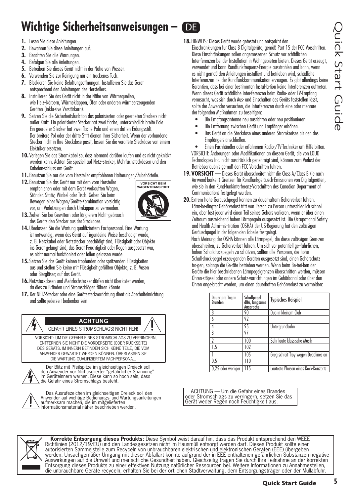#### **Wichtige Sicherheitsanweisungen – DE**

- **1.** Lesen Sie diese Anleitungen.
- **2.** Bewahren Sie diese Anleitungen auf.
- **3.** Beachten Sie alle Warnungen.
- **4.** Befolgen Sie alle Anleitungen.
- **5.** Betreiben Sie dieses Gerät nicht in der Nähe von Wasser.
- **6.** Verwenden Sie zur Reinigung nur ein trockenes Tuch.
- **7.** Blockieren Sie keine Belüftungsöffnungen. Installieren Sie das Gerät entsprechend den Anleitungen des Herstellers.
- 8. Installieren Sie das Gerät nicht in der Nähe von Wärmequellen. wie Heiz--körpern, Wärmeklappen, Öfen oder anderen wärmeerzeugenden Geräten (inklu-sive Verstärkern).
- **9.** Setzen Sie die Sicherheitsfunktion des polarisierten oder geerdeten Steckers nicht außer Kraft. Ein polarisierter Stecker hat zwei flache, unterschiedlich breite Pole. Ein geerdeter Stecker hat zwei flache Pole und einen dritten Erdungsstift. Der breitere Pol oder der dritte Stift dienen Ihrer Sicherheit. Wenn der vorhandene Stecker nicht in Ihre Steckdose passt, lassen Sie die veraltete Steckdose von einem Elektriker ersetzen.
- **10.**Verlegen Sie das Stromkabel so, dass niemand darüber laufen und es nicht geknickt werden kann. Achten Sie speziell auf Netz--stecker, Mehrfachsteckdosen und den Kabelan-schluss am Gerät.
- **11.**Benutzen Sie nur die vom Hersteller empfohlenen Halterungen/Zubehörteile.
- **12.**Benutzen Sie das Gerät nur mit dem vom Hersteller empfohlenen oder mit dem Gerät verkauften Wagen, Ständer, Stativ, Winkel oder Tisch. Gehen Sie beim Bewegen einer Wagen/Geräte-Kombination vorsichtig vor, um Verletzungen durch Umkippen zu vermeiden.



- 13. Ziehen Sie bei Gewittern oder läng-erem Nicht-gebrauch des Geräts den Stecker aus der Steckdose.
- **14.** Überlassen Sie die Wartung qualifiziertem Fachpersonal. Eine Wartung ist notwendig, wenn das Gerät auf irgendeine Weise beschädigt wurde, z. B. Netzkabel oder Netzstecker beschädigt sind, Flüssigkeit oder Objekte ins Gerät gelangt sind, das Gerät Feuchtigkeit oder Regen ausgesetzt war, es nicht normal funktioniert oder fallen gelassen wurde.
- **15.**Setzen Sie das Gerät keinen tropfenden oder spritzenden Flüssigkeiten aus und stellen Sie keine mit Flüssigkeit gefüllten Objekte, z. B. Vasen oder Biergläser; auf das Gerät.
- **16.** Netzsteckdosen und Mehrfachstecker dürfen nicht überlastet werden, da dies zu Bränden und Stromschlägen führen könnte.
- **17.** Der NETZ-Stecker oder eine Gerätesteckvorrichtung dient als Abschalteinrichtung und sollte jederzeit bedienbar sein.

#### GEFAHR EINES STROMSCHLAGS! NICHT FEN! VORSICHT: UM DIE GEFAHR EINES STROMSCHLAGS ZU VERRINGERN, ENTFERNEN SIE NICHT DIE VORDERSEITE (ODER RÜCKSEITE) **ACHTUNG**

DES GERÄTS. IM INNERN BEFINDEN SICH KEINE TEILE, DIE VOM ANWENDER GEWARTET WERDEN KÖNNEN. ÜBERLASSEN SIE DIE WARTUNG QUALIFIZIERTEM FACHPERSONAL.



Der Blitz mit Pfeilspitze im gleichseitigen Dreieck soll den Anwender vor Nichtisolierter "gefährlicher Spannung" im Geräteinnern warnen. Diese kann so hoch sein, dass die Gefahr eines Stromschlags besteht.



Das Ausrufezeichen im gleichseitigen Dreieck soll den Anwender auf wichtige Bedienungs- und Wartungsanleitungen aufmerksam machen, die im mitgelieferten Informationsmaterial näher beschrieben werden.

**18.** HINWEIS: Dieses Gerät wurde getestet und entspricht den

Einschränk-ungen für Class B Digitalgeräte, gemäß Part 15 der FCC Vorschriften. Diese Einschränkungen sollen angemessenen Schutz vor schädlichen Inter-ferenzen bei der Installation in Wohngebieten bieten. Dieses Gerät erzeugt, verwendet und kann Rundfunkfrequenz-Energie ausstrahlen und kann, wenn es nicht gemäß den Anleitungen installiert und betrieben wird, schädliche Interferenzen bei der Rundfunkkommunikation erzeugen. Es gibt allerdings keine Garantien, dass bei einer bestimmten Instal-la-tion keine Interferenzen auftreten. Wenn dieses Gerät schädliche Inter-ferenzen beim Radio- oder TV-Empfang verursacht, was sich durch Aus- und Einschalten des Geräts feststellen lässt, sollte der Anwender versuchen, die Interferenzen durch eine oder mehrere der folgenden Maßnahmen zu beseitigen:

- Die Empfangsantenne neu ausrichten oder neu positionieren.
- Die Entfernung zwischen Gerät und Empfänger erhöhen.
- Das Gerät an die Steckdose eines anderen Stromkreises als den des Empfängers anschließen.

• Einen Fachhändler oder erfahrenen Radio-/TV-Techniker um Hilfe bitten. VORSICHT: Änderungen oder Modifikationen an diesem Gerät, die von LOUD Technologies Inc. nicht ausdrücklich genehmigt sind, können zum Verlust der Betriebserlaubnis gemäß den FCC Vorschriften führen.

- **19.VORSICHT** Dieses Gerät überschreitet nicht die Class A/Class B (je nach An-wend-barkeit) Grenzen für Rundfunkgeräusch-Emissionen von Digitalgeräten, wie sie in den Rund-funkinterferenz-Vorschriften des Canadian Department of Communications festgelegt wurden.
- **20.**Extrem hohe Geräuschpegel können zu dauerhaftem Gehörverlust führen. Lärm-be-dingter Gehörverlust tritt von Person zu Person unterschiedlich schnell ein, aber fast jeder wird einen Teil seines Gehörs verlieren, wenn er über einen Zeitraum ausrei-chend hohen Lärmpegeln ausgesetzt ist. Die Occupational Safety and Health Admi--nis--tration (OSHA) der US-Regierung hat den zulässigen Geräuschpegel in der folgen-den Tabelle festgelegt.

Nach Meinung der OSHA können alle Lärmpegel, die diese zulässigen Gren-zen überschreiten, zu Gehörverlust führen. Um sich vor potentiell ge--fähr-lichen, hohen Schalldruckpegeln zu schützen, sollten alle Personen, die hohe Schall-druck-pegel erzeu-genden Geräten ausgesetzt sind, einen Gehörschutz tra-gen, solange die Ge-räte betrieben werden. Wenn beim Be-trei-ben der Geräte die hier beschriebenen Lärmpegelgrenzen überschritten werden, müssen Ohren-stöpsel oder andere Schutz-vorrichtungen im Gehörkanal oder über den Ohren ange-bracht werden, um einen dauerhaften Gehörverlust zu vermeiden:

| Daver pro Tag in<br>Stunden | Schallpegel<br>dBA, langsame<br>Ansprache | <b>Typisches Beispiel</b>            |
|-----------------------------|-------------------------------------------|--------------------------------------|
| 8                           | 90                                        | Duo in kleinem Club                  |
|                             | 92                                        |                                      |
| 4                           | 95                                        | Untergrundbahn                       |
| 3                           | 97                                        |                                      |
| ŋ                           | 100                                       | Sehr laute klassische Musik          |
| 1.5                         | 102                                       |                                      |
|                             | 105                                       | Greg schreit Troy wegen Deadlines an |
| 0.5                         | 110                                       |                                      |
| 0,25 oder weniger           | 115                                       | Lauteste Phasen eines Rock-Konzerts  |

ACHTUNG — Um die Gefahr eines Brandes oder Stromschlags zu verringern, setzen Sie das Gerät weder Regen noch Feuchtigkeit aus.



**Korrekte Entsorgung dieses Produkts:** Diese Symbol weist darauf hin, dass das Produkt entsprechend den WEEE Richtlinien (2012/19/EU) und den Landesgesetzen nicht im Hausmüll entsorgt werden darf. Dieses Produkt sollte einer autorisierten Sammelstelle zum Recyceln von unbrauchbaren elektrischen und elektronischen Geräten (EEE) übergeben werden. Unsachgemäßer Umgang mit dieser Abfallart könnte aufgrund der in EEE enthaltenen gefährlichen Substanzen negative Auswirkungen auf die Umwelt und menschliche Gesundheit haben. Gleichzeitig tragen Sie durch Ihre Teilnahme an der korrekten Entsorgung dieses Produkts zu einer effektiven Nutzung natürlicher Ressourcen bei. Weitere Informationen zu Annahmestellen, die unbrauchbare Geräte recyceln, erhalten Sie bei der örtlichen Stadtverwaltung, dem Entsorgungsträger oder der Müllabfuhr.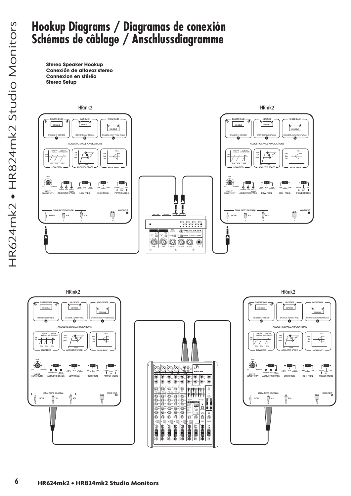#### **Hookup Diagrams / Diagramas de conexión Schémas de câblage / Anschlussdiagramme**

**Stereo Speaker Hookup Conexión de altavoz stereo Connexion en stéréo Stereo Setup**





![](_page_5_Picture_4.jpeg)

![](_page_5_Figure_5.jpeg)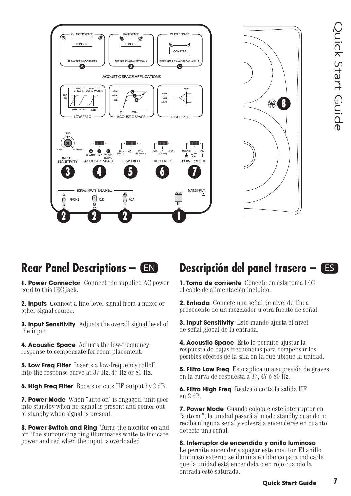![](_page_6_Figure_1.jpeg)

## **Descripción del panel trasero – ES**

8

◉

#### **Rear Panel Descriptions –**

**1. Power Connector** Connect the supplied AC power cord to this IEC jack.

**2. Inputs** Connect a line-level signal from a mixer or other signal source.

**3. Input Sensitivity** Adjusts the overall signal level of the input.

**4. Acoustic Space** Adjusts the low-frequency response to compensate for room placement.

**5. Low Freg Filter** Inserts a low-frequency rolloff into the response curve at 37 Hz, 47 Hz or 80 Hz.

**6. High Freq Filter** Boosts or cuts HF output by 2 dB.

**7. Power Mode** When "auto on" is engaged, unit goes into standby when no signal is present and comes out of standby when signal is present.

**8. Power Switch and Ring** Turns the monitor on and off. The surrounding ring illuminates white to indicate power and red when the input is overloaded.

**1. Toma de corriente** Conecte en esta toma IEC el cable de alimentación incluido.

**2. Entrada** Conecte una señal de nivel de línea procedente de un mezclador u otra fuente de señal.

**3. Input Sensitivity** Este mando ajusta el nivel de señal global de la entrada.

**4. Acoustic Space** Esto le permite ajustar la respuesta de bajas frecuencias para compensar los posibles efectos de la sala en la que ubique la unidad.

**5. Filtro Low Freq** Esto aplica una supresión de graves en la curva de respuesta a 37, 47 ó 80 Hz.

**6. Filtro High Freq** Realza o corta la salida HF en 2 dB.

**7. Power Mode** Cuando coloque este interruptor en "auto on", la unidad pasará al modo standby cuando no reciba ninguna señal y volverá a encenderse en cuanto detecte una señal.

**8. Interruptor de encendido y anillo luminoso** Le permite encender y apagar este monitor. El anillo luminoso externo se ilumina en blanco para indicarle que la unidad está encendida o en rojo cuando la entrada esté saturada.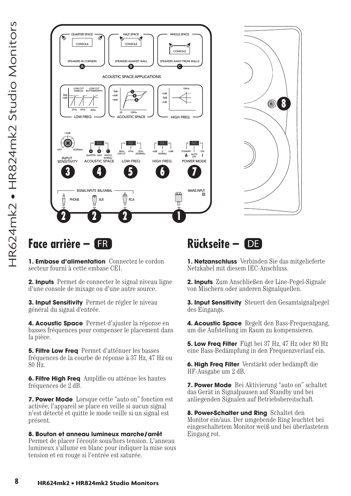![](_page_7_Figure_1.jpeg)

#### **Face arrière – ER**

**1. Embase d'alimentation** Connectez le cordon secteur fourni à cette embase CEI.

**2. Inputs** Permet de connecter le signal niveau ligne d'une console de mixage ou d'une autre source.

**3. Input Sensitivity** Permet de régler le niveau général du signal d'entrée.

**4. Acoustic Space** Permet d'ajuster la réponse en basses fréquences pour compenser le placement dans la pièce.

**5. Filtre Low Freq** Permet d'atténuer les basses fréquences de la courbe de réponse à 37 Hz, 47 Hz ou 80 Hz.

**6. Filtre High Freq** Amplifie ou atténue les hautes fréquences de 2 dB.

**7. Power Mode** Lorsque cette "auto on" fonction est activée, l'appareil se place en veille si aucun signal n'est détecté et quitte le mode veille si un signal est présent.

#### **8. Bouton et anneau lumineux marche/arrêt** Permet de placer l'écoute sous/hors tension. L'anneau

lumineux s'allume en blanc pour indiquer la mise sous tension et en rouge si l'entrée est saturée.

#### Rückseite - DE

**1. Netzanschluss** Verbinden Sie das mitgelieferte Netzkabel mit diesem IEC-Anschluss.

**2. Inputs** Zum Anschließen der Line-Pegel-Signale von Mischern oder anderen Signalquellen.

**3. Input Sensitivity** Steuert den Gesamtsignalpegel des Eingangs.

**4. Acoustic Space** Regelt den Bass-Frequenzgang, um die Aufstellung im Raum zu kompensieren.

**5. Low Freq Filter** Fügt bei 37 Hz, 47 Hz oder 80 Hz eine Bass-Bedämpfung in den Frequenzverlauf ein.

**6. High Freq Filter** Verstärkt oder bedämpft die HF-Ausgabe um 2 dB.

**7. Power Mode** Bei Aktivierung "auto on" schaltet das Gerät in Signalpausen auf Standby und bei anliegenden Signalen auf Betriebsbereitschaft.

**8. Power-Schalter und Ring** Schaltet den Monitor ein/aus. Der umgebende Ring leuchtet bei eingeschaltetem Monitor weiß und bei überlastetem Eingang rot.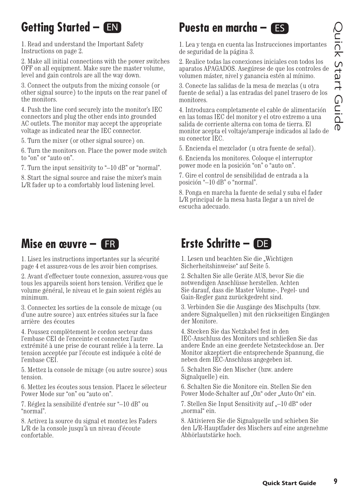#### **Getting Started –**  $\blacksquare$

1. Read and understand the Important Safety Instructions on page 2.

2. Make all initial connections with the power switches OFF on all equipment. Make sure the master volume, level and gain controls are all the way down.

3. Connect the outputs from the mixing console (or other signal source) to the inputs on the rear panel of the monitors.

4. Push the line cord securely into the monitor's IEC connectors and plug the other ends into grounded AC outlets. The monitor may accept the appropriate voltage as indicated near the IEC connector.

5. Turn the mixer (or other signal source) on.

6. Turn the monitors on. Place the power mode switch to "on" or "auto on".

7. Turn the input sensitivity to "–10 dB" or "normal".

8. Start the signal source and raise the mixer's main L/R fader up to a comfortably loud listening level.

#### **Mise en œuvre – ER**

1. Lisez les instructions importantes sur la sécurité page 4 et assurez-vous de les avoir bien comprises.

2. Avant d'effectuer toute connexion, assurez-vous que tous les appareils soient hors tension. Vérifiez que le volume général, le niveau et le gain soient réglés au minimum.

3. Connectez les sorties de la console de mixage (ou d'une autre source) aux entrées situées sur la face arrière des écoutes

4. Poussez complètement le cordon secteur dans l'embase CEI de l'enceinte et connectez l'autre extrémité à une prise de courant reliée à la terre. La tension acceptée par l'écoute est indiquée à côté de l'embase CEI.

5. Mettez la console de mixage (ou autre source) sous tension.

6. Mettez les écoutes sous tension. Placez le sélecteur Power Mode sur "on" ou "auto on".

7. Réglez la sensibilité d'entrée sur "–10 dB" ou "normal".

8. Activez la source du signal et montez les Faders L/R de la console jusqu'à un niveau d'écoute confortable.

#### EN **Puesta en marcha – ES**

1. Lea y tenga en cuenta las Instrucciones importantes de seguridad de la página 3.

2. Realice todas las conexiones iniciales con todos los aparatos APAGADOS. Asegúrese de que los controles de volumen máster, nivel y ganancia estén al mínimo.

3. Conecte las salidas de la mesa de mezclas (u otra fuente de señal) a las entradas del panel trasero de los monitores.

4. Introduzca completamente el cable de alimentación en las tomas IEC del monitor y el otro extremo a una salida de corriente alterna con toma de tierra. El monitor acepta el voltaje/amperaje indicados al lado de su conector IEC.

5. Encienda el mezclador (u otra fuente de señal).

6. Encienda los monitores. Coloque el interruptor power mode en la posición "on" o "auto on".

7. Gire el control de sensibilidad de entrada a la posición "–10 dB" o "normal".

8. Ponga en marcha la fuente de señal y suba el fader L/R principal de la mesa hasta llegar a un nivel de escucha adecuado.

#### Erste Schritte - DE

1. Lesen und beachten Sie die "Wichtigen Sicherheitshinweise" auf Seite 5.

2. Schalten Sie alle Geräte AUS, bevor Sie die notwendigen Anschlüsse herstellen. Achten Sie darauf, dass die Master Volume-, Pegel- und Gain-Regler ganz zurückgedreht sind.

3. Verbinden Sie die Ausgänge des Mischpults (bzw. andere Signalquellen) mit den rückseitigen Eingängen der Monitore.

4. Stecken Sie das Netzkabel fest in den IEC-Anschluss des Monitors und schließen Sie das andere Ende an eine geerdete Netzsteckdose an. Der Monitor akzeptiert die entsprechende Spannung, die neben dem IEC-Anschluss angegeben ist.

5. Schalten Sie den Mischer (bzw. andere Signalquelle) ein.

6. Schalten Sie die Monitore ein. Stellen Sie den Power Mode-Schalter auf "On" oder "Auto On" ein.

7. Stellen Sie Input Sensitivity auf "–10 dB" oder .normal" ein.

8. Aktivieren Sie die Signalquelle und schieben Sie den L/R-Hauptfader des Mischers auf eine angenehme Abhörlautstärke hoch.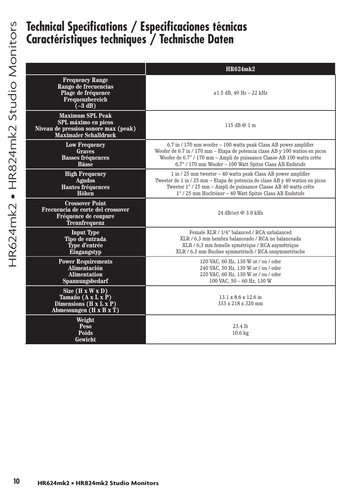# **Caractéristiques techniques / Technische Daten**

|                                                                                                                        | <b>HR624mk2</b>                                                                                                                                                                                                                                                                        |
|------------------------------------------------------------------------------------------------------------------------|----------------------------------------------------------------------------------------------------------------------------------------------------------------------------------------------------------------------------------------------------------------------------------------|
| <b>Frequency Range</b><br>Rango de frecuencias<br>Plage de fréquence<br>Frequenzbereich<br>$(-3 dB)$                   | $\pm 1.5$ dB, 49 Hz - 22 kHz                                                                                                                                                                                                                                                           |
| <b>Maximum SPL Peak</b><br>SPL máximo en picos<br>Niveau de pression sonore max (peak)<br><b>Maximaler Schalldruck</b> | 115 dB @ 1 m                                                                                                                                                                                                                                                                           |
| <b>Low Frequency</b><br><b>Graves</b><br><b>Basses fréquences</b><br><b>Bässe</b>                                      | 6.7 in / 170 mm woofer - 100 watts peak Class AB power amplifier<br>Woofer de 6.7 in / 170 mm - Etapa de potencia clase AB y 100 watios en picos<br>Woofer de 6.7" / 170 mm - Ampli de puissance Classe AB 100 watts crête<br>6,7" / 170 mm Woofer - 100 Watt Spitze Class AB Endstufe |
| <b>High Frequency</b><br><b>Agudos</b><br>Hautes fréquences<br>Höhen                                                   | 1 in / 25 mm tweeter - 40 watts peak Class AB power amplifier<br>Tweeter de 1 in / 25 mm - Etapa de potencia de clase AB y 40 watios en picos<br>Tweeter 1" / 25 mm - Ampli de puissance Classe AB 40 watts crête<br>1" / 25 mm Hochtöner - 40 Watt Spitze Class AB Endstufe           |
| <b>Crossover Point</b><br>Frecuencia de corte del crossover<br>Fréquence de coupure<br><b>Trennfrequenz</b>            | 24 dB/oct @ 3.0 kHz                                                                                                                                                                                                                                                                    |
| <b>Input Type</b><br>Tipo de entrada<br>Type d'entrée<br>Eingangstyp                                                   | Female XLR / 1/4" balanced / RCA unbalanced<br>XLR / 6,3 mm hembra balanceado / RCA no balanceada<br>XLR / 6,3 mm femelle symétrique / RCA asymétrique<br>XLR / 6,3 mm-Buchse symmetrisch / RCA unsymmetrische                                                                         |
| <b>Power Requirements</b><br>Alimentación<br><b>Alimentation</b><br>Spannungsbedarf                                    | 120 VAC, 60 Hz, 130 W or / ou / oder<br>240 VAC, 50 Hz, 130 W or / ou / oder<br>220 VAC, 60 Hz, 130 W or / ou / oder<br>100 VAC, $50 - 60$ Hz, 130 W                                                                                                                                   |
| Size $(H \times W \times D)$<br>Tamaño (A x L x P)<br>Dimensions (H x L x P)<br>Abmessungen (H x B x T)                | $13.1 \times 8.6 \times 12.6$ in<br>333 x 218 x 320 mm                                                                                                                                                                                                                                 |
| Weight<br>Peso<br><b>Poids</b><br>Gewicht                                                                              | 23.4 lb<br>$10.6\ \mathrm{kg}$                                                                                                                                                                                                                                                         |
|                                                                                                                        |                                                                                                                                                                                                                                                                                        |
|                                                                                                                        |                                                                                                                                                                                                                                                                                        |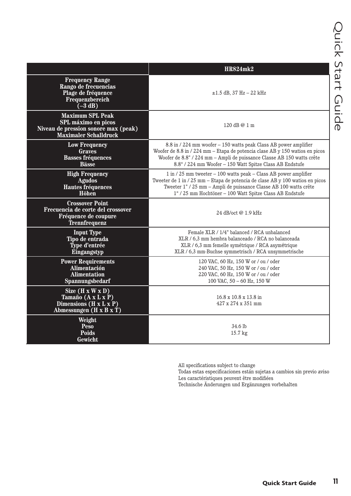|                                                                                                                        | <b>HR824mk2</b>                                                                                                                                                                                                                                                                        |
|------------------------------------------------------------------------------------------------------------------------|----------------------------------------------------------------------------------------------------------------------------------------------------------------------------------------------------------------------------------------------------------------------------------------|
| <b>Frequency Range</b><br>Rango de frecuencias<br>Plage de fréquence<br>Frequenzbereich<br>$(-3 dB)$                   | $\pm 1.5$ dB, 37 Hz – 22 kHz                                                                                                                                                                                                                                                           |
| <b>Maximum SPL Peak</b><br>SPL máximo en picos<br>Niveau de pression sonore max (peak)<br><b>Maximaler Schalldruck</b> | 120 dB @ 1 m                                                                                                                                                                                                                                                                           |
| <b>Low Frequency</b><br><b>Graves</b><br><b>Basses fréquences</b><br><b>Bässe</b>                                      | 8.8 in / 224 mm woofer - 150 watts peak Class AB power amplifier<br>Woofer de 8.8 in / 224 mm - Etapa de potencia clase AB y 150 watios en picos<br>Woofer de 8.8" / 224 mm - Ampli de puissance Classe AB 150 watts crête<br>8.8" / 224 mm Woofer - 150 Watt Spitze Class AB Endstufe |
| <b>High Frequency</b><br><b>Agudos</b><br>Hautes fréquences<br>Höhen                                                   | 1 in / 25 mm tweeter - 100 watts peak - Class AB power amplifier<br>Tweeter de 1 in / 25 mm - Etapa de potencia de clase AB y 100 watios en picos<br>Tweeter 1" / 25 mm – Ampli de puissance Classe AB 100 watts crête<br>1" / 25 mm Hochtöner - 100 Watt Spitze Class AB Endstufe     |
| <b>Crossover Point</b><br>Frecuencia de corte del crossover<br>Fréquence de coupure<br><b>Trennfrequenz</b>            | 24 dB/oct $@1.9$ kHz                                                                                                                                                                                                                                                                   |
| <b>Input Type</b><br>Tipo de entrada<br>Type d'entrée<br>Eingangstyp                                                   | Female XLR / 1/4" balanced / RCA unbalanced<br>XLR / 6.3 mm hembra balanceado / RCA no balanceada<br>XLR / 6,3 mm femelle symétrique / RCA asymétrique<br>XLR / 6,3 mm-Buchse symmetrisch / RCA unsymmetrische                                                                         |
| <b>Power Requirements</b><br>Alimentación<br><b>Alimentation</b><br>Spannungsbedarf                                    | 120 VAC, 60 Hz, 150 W or / ou / oder<br>240 VAC, 50 Hz, 150 W or / ou / oder<br>220 VAC, 60 Hz, 150 W or / ou / oder<br>100 VAC, 50 - 60 Hz, 150 W                                                                                                                                     |
| Size $(H \times W \times D)$<br>Tamaño (A x L x P)<br>Dimensions (H x L x P)<br>Abmessungen (H x B x T)                | $16.8 \times 10.8 \times 13.8$ in<br>$427 \times 274 \times 351$ mm                                                                                                                                                                                                                    |
| Weight<br><b>Peso</b><br><b>Poids</b><br>Gewicht                                                                       | 34.6 lb<br>15.7 <sub>kg</sub>                                                                                                                                                                                                                                                          |

All specifications subject to change

Todas estas especificaciones están sujetas a cambios sin previo aviso Les caractéristiques peuvent être modifiées

Technische Änderungen und Ergänzungen vorbehalten